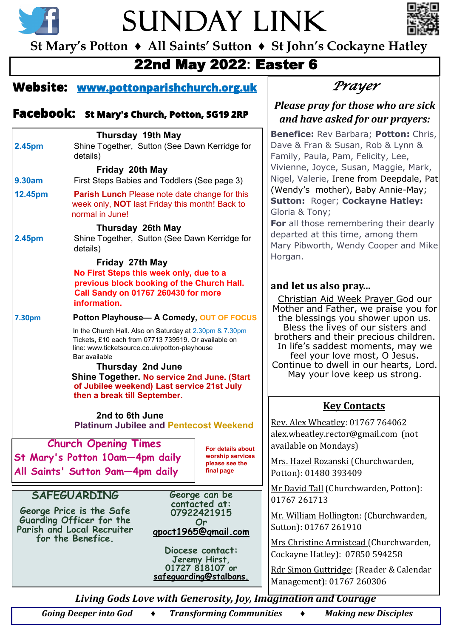



**St Mary's Potton ♦ All Saints' Sutton ♦ St John's Cockayne Hatley**

## 22nd May 2022**:** Easter 6

### **Website: [www.pottonparishchurch.org.uk](http://www.pottonparishchurch.org.uk)**

### **Facebook: St Mary's Church, Potton, SG19 2RP**

|                          | <b>Thursday 19th May</b>                                                                                                                                                                                                                            |                                             | <b>Benefice: Re</b>                              |  |  |
|--------------------------|-----------------------------------------------------------------------------------------------------------------------------------------------------------------------------------------------------------------------------------------------------|---------------------------------------------|--------------------------------------------------|--|--|
| 2.45pm                   | Shine Together, Sutton (See Dawn Kerridge for                                                                                                                                                                                                       |                                             | Dave & Fran &                                    |  |  |
|                          | details)                                                                                                                                                                                                                                            |                                             | Family, Paula,                                   |  |  |
|                          | Friday 20th May                                                                                                                                                                                                                                     |                                             | Vivienne, Joyo                                   |  |  |
| <b>9.30am</b>            | First Steps Babies and Toddlers (See page 3)                                                                                                                                                                                                        | Nigel, Valerie,                             |                                                  |  |  |
| 12.45pm                  | <b>Parish Lunch</b> Please note date change for this<br>week only, <b>NOT</b> last Friday this month! Back to<br>normal in June!                                                                                                                    | (Wendy's mo<br>Sutton: Rog<br>Gloria & Tony |                                                  |  |  |
| 2.45pm                   | <b>Thursday 26th May</b><br>Shine Together, Sutton (See Dawn Kerridge for<br>details)                                                                                                                                                               |                                             | For all those<br>departed at th<br>Mary Pibworth |  |  |
|                          | Friday 27th May                                                                                                                                                                                                                                     |                                             | Horgan.                                          |  |  |
| <b>7.30pm</b>            | No First Steps this week only, due to a<br>previous block booking of the Church Hall.<br>Call Sandy on 01767 260430 for more<br>information.<br>Potton Playhouse- A Comedy, OUT OF FOCUS<br>In the Church Hall. Also on Saturday at 2.30pm & 7.30pm |                                             |                                                  |  |  |
|                          | brothers and<br>In life's sad<br>feel your<br>Continue to<br>May your                                                                                                                                                                               |                                             |                                                  |  |  |
|                          | 2nd to 6th June                                                                                                                                                                                                                                     |                                             | <u>k</u>                                         |  |  |
|                          | <b>Platinum Jubilee and Pentecost Weekend</b>                                                                                                                                                                                                       |                                             | Rev. Alex Whea<br>alex.wheatley.i                |  |  |
|                          | <b>Church Opening Times</b>                                                                                                                                                                                                                         | For details about                           | available on M                                   |  |  |
|                          | St Mary's Potton 10am-4pm daily                                                                                                                                                                                                                     | worship services                            | <u>Mrs. Hazel Roz</u>                            |  |  |
|                          | All Saints' Sutton 9am-4pm daily                                                                                                                                                                                                                    | please see the<br>final page                | Potton): 01480                                   |  |  |
|                          | <b>SAFEGUARDING</b>                                                                                                                                                                                                                                 | George can be                               | Mr David Tall (                                  |  |  |
|                          |                                                                                                                                                                                                                                                     | contacted at:                               | 01767 261713                                     |  |  |
| George Price is the Safe | Mr. William Ho                                                                                                                                                                                                                                      |                                             |                                                  |  |  |
|                          | Guarding Officer for the<br>Parish and Local Recruiter                                                                                                                                                                                              | Or<br>gpoct1965@gmail.com                   | Sutton): 01767                                   |  |  |
|                          | for the Benefice.                                                                                                                                                                                                                                   |                                             | Mrs Christine /                                  |  |  |
|                          |                                                                                                                                                                                                                                                     | Diocese contact:                            | Cockayne Hatle                                   |  |  |
|                          |                                                                                                                                                                                                                                                     | Jeremy Hirst,<br>01727 818107 or            | <b>Rdr Simon Gut</b>                             |  |  |
|                          |                                                                                                                                                                                                                                                     | <u>safeguarding@stalbans.</u>               | Management):                                     |  |  |
|                          |                                                                                                                                                                                                                                                     |                                             |                                                  |  |  |

## *Prayer*

#### *Please pray for those who are sick and have asked for our prayers:*

**Benefice:** Rev Barbara; **Potton:** Chris, & Susan, Rob & Lynn & , Pam, Felicity, Lee, ce, Susan, Maggie, Mark, , Irene from Deepdale, Pat (wher), Baby Annie-May; **Sutton:** Roger; **Cockayne Hatley:**  Gloria & Tony;

remembering their dearly his time, among them h, Wendy Cooper and Mike

#### **lso pray...**

id Week Prayer God our Father, we praise you for gs you shower upon us. lives of our sisters and d their precious children. Idest moments, may we r love most, O Jesus. dwell in our hearts, Lord. r love keep us strong.

#### **Key Contacts**

atley: 01767 764062 rector@gmail.com (not ondays)

zanski (Churchwarden, 0 393409

(Churchwarden, Potton):

ollington: (Churchwarden, 7 261910

Armistead (Churchwarden, ev): 07850 594258

tridge: (Reader & Calendar 01767 260306

*Living Gods Love with Generosity, Joy, Imagination and Courage* 

*Going Deeper into God ♦ Transforming Communities ♦ Making new Disciples*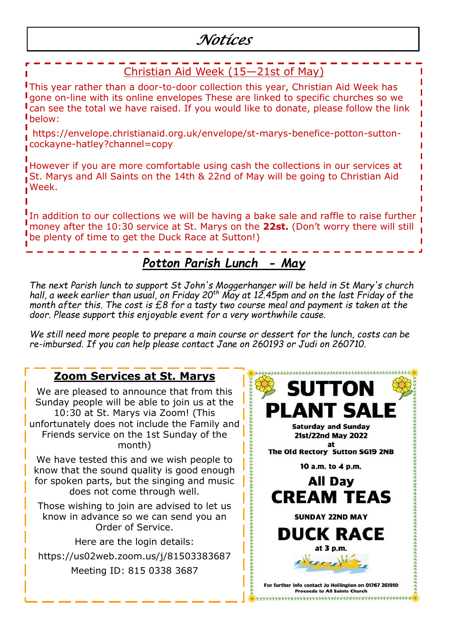# *Notices*

#### Christian Aid Week (15—21st of May) This year rather than a door-to-door collection this year, Christian Aid Week has gone on-line with its online envelopes These are linked to specific churches so we can see the total we have raised. If you would like to donate, please follow the link below:

https://envelope.christianaid.org.uk/envelope/st-marys-benefice-potton-suttoncockayne-hatley?channel=copy

However if you are more comfortable using cash the collections in our services at St. Marys and All Saints on the 14th & 22nd of May will be going to Christian Aid Week.

In addition to our collections we will be having a bake sale and raffle to raise further money after the 10:30 service at St. Marys on the **22st.** (Don't worry there will still be plenty of time to get the Duck Race at Sutton!)

# *Potton Parish Lunch - May*

*The next Parish lunch to support St John's Moggerhanger will be held in St Mary's church hall, a week earlier than usual, on Friday 20th May at 12.45pm and on the last Friday of the month after this. The cost is £8 for a tasty two course meal and payment is taken at the door. Please support this enjoyable event for a very worthwhile cause.*

*We still need more people to prepare a main course or dessert for the lunch, costs can be re-imbursed. If you can help please contact Jane on 260193 or Judi on 260710.*

## **Zoom Services at St. Marys**

We are pleased to announce that from this Sunday people will be able to join us at the 10:30 at St. Marys via Zoom! (This unfortunately does not include the Family and Friends service on the 1st Sunday of the month)

We have tested this and we wish people to know that the sound quality is good enough for spoken parts, but the singing and music does not come through well.

Those wishing to join are advised to let us know in advance so we can send you an Order of Service.

Here are the login details:

https://us02web.zoom.us/j/81503383687 Meeting ID: 815 0338 3687

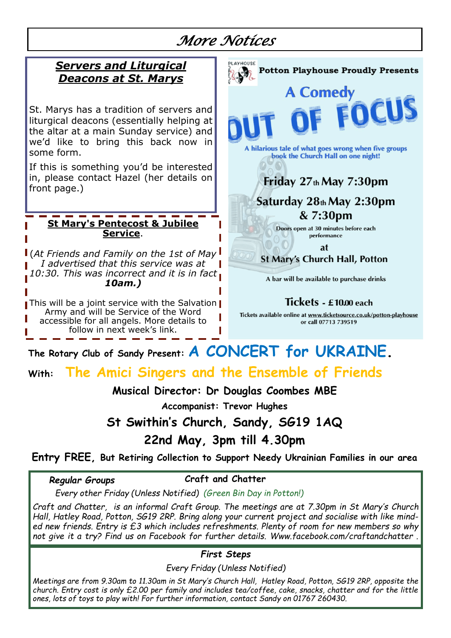# *More Notices*

### *Servers and Liturgical Deacons at St. Marys*

St. Marys has a tradition of servers and liturgical deacons (essentially helping at the altar at a main Sunday service) and we'd like to bring this back now in some form.

If this is something you'd be interested in, please contact Hazel (her details on front page.)

#### **St Mary's Pentecost & Jubilee Service**.

(*At Friends and Family on the 1st of May I advertised that this service was at 10:30. This was incorrect and it is in fact 10am.)*

This will be a joint service with the Salvation Army and will be Service of the Word accessible for all angels. More details to follow in next week's link.

# **Potton Playhouse Proudly Presents A Comedy** A hilarious tale of what goes wrong when five groups book the Church Hall on one night! Friday  $27<sub>th</sub>$  May  $7:30<sub>pm</sub>$ Saturday 28th May 2:30pm  $& 7:30 \text{pm}$ Doors open at 30 minutes before each performance **at St Mary's Church Hall, Potton** A bar will be available to purchase drinks

Tickets - £10.00 each

Tickets available online at www.ticketsource.co.uk/potton-playhouse or call 07713 739519

# **The Rotary Club of Sandy Present: A CONCERT for UKRAINE.**

## **With: The Amici Singers and the Ensemble of Friends**

### **Musical Director: Dr Douglas Coombes MBE**

**Accompanist: Trevor Hughes** 

**St Swithin's Church, Sandy, SG19 1AQ**

**22nd May, 3pm till 4.30pm**

### **Entry FREE, But Retiring Collection to Support Needy Ukrainian Families in our area**

#### *Regular Groups*

 **Craft and Chatter**

 *Every other Friday (Unless Notified) (Green Bin Day in Potton!)*

*Craft and Chatter, is an informal Craft Group. The meetings are at 7.30pm in St Mary's Church Hall, Hatley Road, Potton, SG19 2RP. Bring along your current project and socialise with like minded new friends. Entry is £3 which includes refreshments. Plenty of room for new members so why not give it a try? Find us on Facebook for further details. Www.facebook.com/craftandchatter .* 

*First Steps*

*Every Friday (Unless Notified)*

*Meetings are from 9.30am to 11.30am in St Mary's Church Hall, Hatley Road, Potton, SG19 2RP, opposite the church. Entry cost is only £2.00 per family and includes tea/coffee, cake, snacks, chatter and for the little ones, lots of toys to play with! For further information, contact Sandy on 01767 260430.*